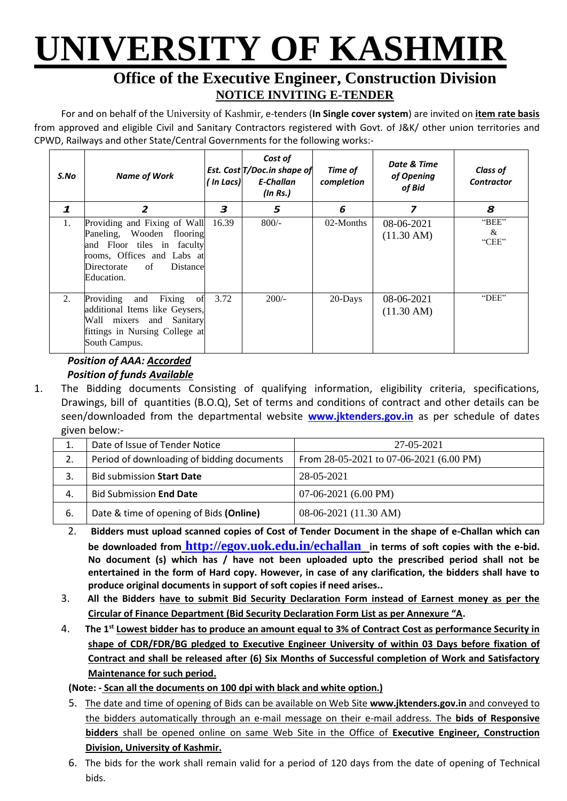# **UNIVERSITY OF KASHMIR**

### **Office of the Executive Engineer, Construction Division NOTICE INVITING E-TENDER**

For and on behalf of the University of Kashmir, e-tenders (**In Single cover system**) are invited on **item rate basis** from approved and eligible Civil and Sanitary Contractors registered with Govt. of J&K/ other union territories and CPWD, Railways and other State/Central Governments for the following works:-

| S.No        | <b>Name of Work</b>                                                                                                                                                  | ' In Lacs) | Cost of<br>Est. Cost T/Doc.in shape of<br>E-Challan<br>$($ In Rs. $)$ | Time of<br>completion | Date & Time<br>of Opening<br>of Bid | <b>Class of</b><br><b>Contractor</b> |
|-------------|----------------------------------------------------------------------------------------------------------------------------------------------------------------------|------------|-----------------------------------------------------------------------|-----------------------|-------------------------------------|--------------------------------------|
| 1           | 2                                                                                                                                                                    | 3          | 5                                                                     | 6                     | 7                                   | 8                                    |
| $1_{\cdot}$ | Providing and Fixing of Wall<br>Paneling, Wooden flooring<br>and Floor tiles in faculty<br>rooms, Offices and Labs at<br>of<br>Distance<br>Directorate<br>Education. | 16.39      | $800/-$                                                               | 02-Months             | 08-06-2021<br>$(11.30 \text{ AM})$  | "BEE"<br>&<br>"CEE"                  |
| 2.          | Providing<br>Fixing<br>and<br>ofl<br>additional Items like Geysers,<br>Wall mixers and Sanitary<br>fittings in Nursing College at<br>South Campus.                   | 3.72       | $200/-$                                                               | 20-Days               | 08-06-2021<br>$(11.30 \text{ AM})$  | "DEE"                                |

#### *Position of AAA: Accorded Position of funds Available*

1. The Bidding documents Consisting of qualifying information, eligibility criteria, specifications, Drawings, bill of quantities (B.O.Q), Set of terms and conditions of contract and other details can be seen/downloaded from the departmental website **[www.jktenders.gov.in](http://www.pmgsytendersjk.gov.in/)** as per schedule of dates given below:-

| ⊥. | Date of Issue of Tender Notice             | 27-05-2021                                |
|----|--------------------------------------------|-------------------------------------------|
| 2. | Period of downloading of bidding documents | From $28-05-2021$ to 07-06-2021 (6.00 PM) |
|    | <b>Bid submission Start Date</b>           | 28-05-2021                                |
| 4. | <b>Bid Submission End Date</b>             | $07-06-2021(6.00 PM)$                     |
| 6. | Date & time of opening of Bids (Online)    | $08-06-2021$ (11.30 AM)                   |

- 2. **Bidders must upload scanned copies of Cost of Tender Document in the shape of e-Challan which can be downloaded from <http://egov.uok.edu.in/echallan> in terms of soft copies with the e-bid. No document (s) which has / have not been uploaded upto the prescribed period shall not be entertained in the form of Hard copy. However, in case of any clarification, the bidders shall have to produce original documents in support of soft copies if need arises..**
- 3. **All the Bidders have to submit Bid Security Declaration Form instead of Earnest money as per the Circular of Finance Department (Bid Security Declaration Form List as per Annexure "A.**
- 4. **The 1st Lowest bidder has to produce an amount equal to 3% of Contract Cost as performance Security in shape of CDR/FDR/BG pledged to Executive Engineer University of within 03 Days before fixation of Contract and shall be released after (6) Six Months of Successful completion of Work and Satisfactory Maintenance for such period.**

#### **(Note: - Scan all the documents on 100 dpi with black and white option.)**

- 5. The date and time of opening of Bids can be available on Web Site **[www.jktenders.gov.in](http://www.pmgsytendersjk.gov.in/)** and conveyed to the bidders automatically through an e-mail message on their e-mail address. The **bids of Responsive bidders** shall be opened online on same Web Site in the Office of **Executive Engineer, Construction Division, University of Kashmir.**
- 6. The bids for the work shall remain valid for a period of 120 days from the date of opening of Technical bids.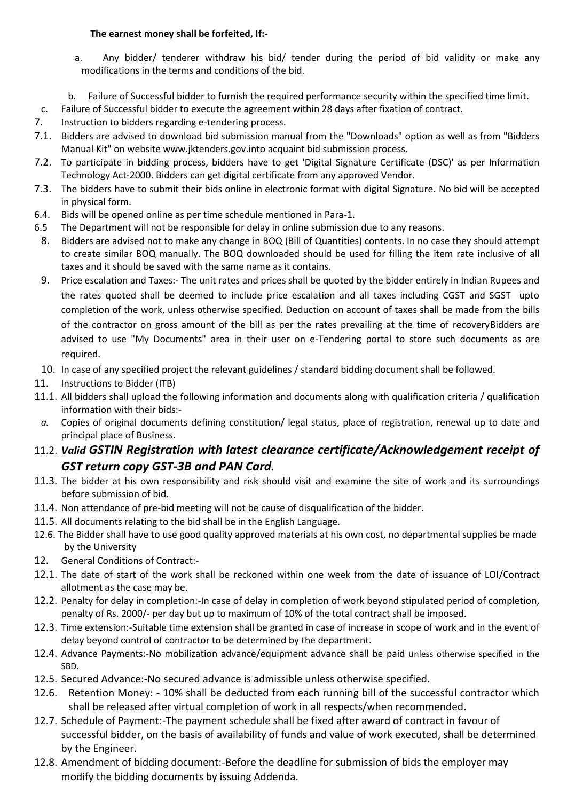#### **The earnest money shall be forfeited, If:-**

- a. Any bidder/ tenderer withdraw his bid/ tender during the period of bid validity or make any modifications in the terms and conditions of the bid.
- b. Failure of Successful bidder to furnish the required performance security within the specified time limit.
- c. Failure of Successful bidder to execute the agreement within 28 days after fixation of contract.
- 7. Instruction to bidders regarding e-tendering process.
- 7.1. Bidders are advised to download bid submission manual from the "Downloads" option as well as from "Bidders Manual Kit" on website [www.jktenders.gov.into](http://www.pmgsytendersjk.gov.into/) acquaint bid submission process.
- 7.2. To participate in bidding process, bidders have to get 'Digital Signature Certificate (DSC)' as per Information Technology Act-2000. Bidders can get digital certificate from any approved Vendor.
- 7.3. The bidders have to submit their bids online in electronic format with digital Signature. No bid will be accepted in physical form.
- 6.4. Bids will be opened online as per time schedule mentioned in Para-1.
- 6.5 The Department will not be responsible for delay in online submission due to any reasons.
- 8. Bidders are advised not to make any change in BOQ (Bill of Quantities) contents. In no case they should attempt to create similar BOQ manually. The BOQ downloaded should be used for filling the item rate inclusive of all taxes and it should be saved with the same name as it contains.
- 9. Price escalation and Taxes:- The unit rates and prices shall be quoted by the bidder entirely in Indian Rupees and the rates quoted shall be deemed to include price escalation and all taxes including CGST and SGST upto completion of the work, unless otherwise specified. Deduction on account of taxes shall be made from the bills of the contractor on gross amount of the bill as per the rates prevailing at the time of recoveryBidders are advised to use "My Documents" area in their user on e-Tendering portal to store such documents as are required.
- 10. In case of any specified project the relevant guidelines / standard bidding document shall be followed.
- 11. Instructions to Bidder (ITB)
- 11.1. All bidders shall upload the following information and documents along with qualification criteria / qualification information with their bids:-
- *a.* Copies of original documents defining constitution/ legal status, place of registration, renewal up to date and principal place of Business.
- 11.2. *Valid GSTIN Registration with latest clearance certificate/Acknowledgement receipt of GST return copy GST-3B and PAN Card.*
- 11.3. The bidder at his own responsibility and risk should visit and examine the site of work and its surroundings before submission of bid.
- 11.4. Non attendance of pre-bid meeting will not be cause of disqualification of the bidder.
- 11.5. All documents relating to the bid shall be in the English Language.
- 12.6. The Bidder shall have to use good quality approved materials at his own cost, no departmental supplies be made by the University
- 12. General Conditions of Contract:-
- 12.1. The date of start of the work shall be reckoned within one week from the date of issuance of LOI/Contract allotment as the case may be.
- 12.2. Penalty for delay in completion:-In case of delay in completion of work beyond stipulated period of completion, penalty of Rs. 2000/- per day but up to maximum of 10% of the total contract shall be imposed.
- 12.3. Time extension:-Suitable time extension shall be granted in case of increase in scope of work and in the event of delay beyond control of contractor to be determined by the department.
- 12.4. Advance Payments:-No mobilization advance/equipment advance shall be paid unless otherwise specified in the SBD.
- 12.5. Secured Advance:-No secured advance is admissible unless otherwise specified.
- 12.6. Retention Money: 10% shall be deducted from each running bill of the successful contractor which shall be released after virtual completion of work in all respects/when recommended.
- 12.7. Schedule of Payment:-The payment schedule shall be fixed after award of contract in favour of successful bidder, on the basis of availability of funds and value of work executed, shall be determined by the Engineer.
- 12.8. Amendment of bidding document:-Before the deadline for submission of bids the employer may modify the bidding documents by issuing Addenda.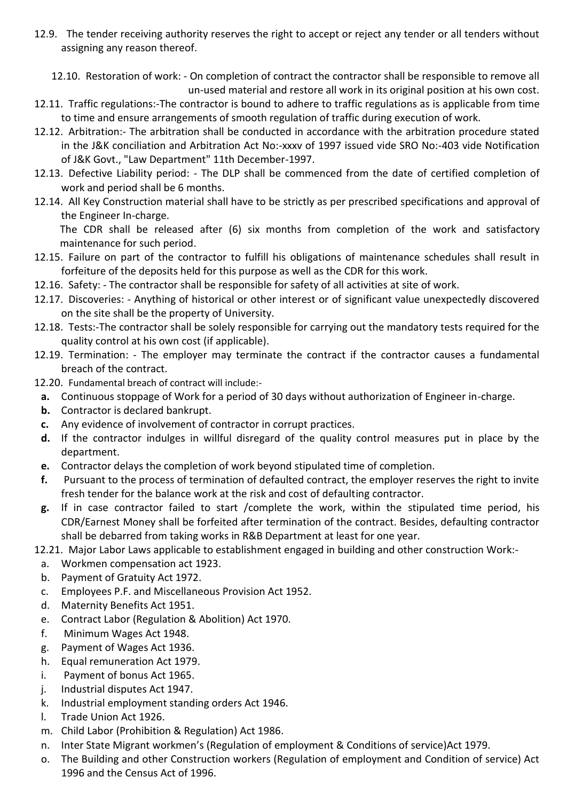12.9. The tender receiving authority reserves the right to accept or reject any tender or all tenders without assigning any reason thereof.

12.10. Restoration of work: - On completion of contract the contractor shall be responsible to remove all un-used material and restore all work in its original position at his own cost.

- 12.11. Traffic regulations:-The contractor is bound to adhere to traffic regulations as is applicable from time to time and ensure arrangements of smooth regulation of traffic during execution of work.
- 12.12. Arbitration:- The arbitration shall be conducted in accordance with the arbitration procedure stated in the J&K conciliation and Arbitration Act No:-xxxv of 1997 issued vide SRO No:-403 vide Notification of J&K Govt., "Law Department" 11th December-1997.
- 12.13. Defective Liability period: The DLP shall be commenced from the date of certified completion of work and period shall be 6 months.
- 12.14. All Key Construction material shall have to be strictly as per prescribed specifications and approval of the Engineer In-charge.

The CDR shall be released after (6) six months from completion of the work and satisfactory maintenance for such period.

- 12.15. Failure on part of the contractor to fulfill his obligations of maintenance schedules shall result in forfeiture of the deposits held for this purpose as well as the CDR for this work.
- 12.16. Safety: The contractor shall be responsible for safety of all activities at site of work.
- 12.17. Discoveries: Anything of historical or other interest or of significant value unexpectedly discovered on the site shall be the property of University.
- 12.18. Tests:-The contractor shall be solely responsible for carrying out the mandatory tests required for the quality control at his own cost (if applicable).
- 12.19. Termination: The employer may terminate the contract if the contractor causes a fundamental breach of the contract.
- 12.20. Fundamental breach of contract will include:
	- **a.** Continuous stoppage of Work for a period of 30 days without authorization of Engineer in-charge.
	- **b.** Contractor is declared bankrupt.
	- **c.** Any evidence of involvement of contractor in corrupt practices.
	- **d.** If the contractor indulges in willful disregard of the quality control measures put in place by the department.
	- **e.** Contractor delays the completion of work beyond stipulated time of completion.
	- **f.** Pursuant to the process of termination of defaulted contract, the employer reserves the right to invite fresh tender for the balance work at the risk and cost of defaulting contractor.
	- **g.** If in case contractor failed to start /complete the work, within the stipulated time period, his CDR/Earnest Money shall be forfeited after termination of the contract. Besides, defaulting contractor shall be debarred from taking works in R&B Department at least for one year.

12.21. Major Labor Laws applicable to establishment engaged in building and other construction Work:-

- a. Workmen compensation act 1923.
- b. Payment of Gratuity Act 1972.
- c. Employees P.F. and Miscellaneous Provision Act 1952.
- d. Maternity Benefits Act 1951.
- e. Contract Labor (Regulation & Abolition) Act 1970.
- f. Minimum Wages Act 1948.
- g. Payment of Wages Act 1936.
- h. Equal remuneration Act 1979.
- i. Payment of bonus Act 1965.
- j. Industrial disputes Act 1947.
- k. Industrial employment standing orders Act 1946.
- l. Trade Union Act 1926.
- m. Child Labor (Prohibition & Regulation) Act 1986.
- n. Inter State Migrant workmen's (Regulation of employment & Conditions of service)Act 1979.
- o. The Building and other Construction workers (Regulation of employment and Condition of service) Act 1996 and the Census Act of 1996.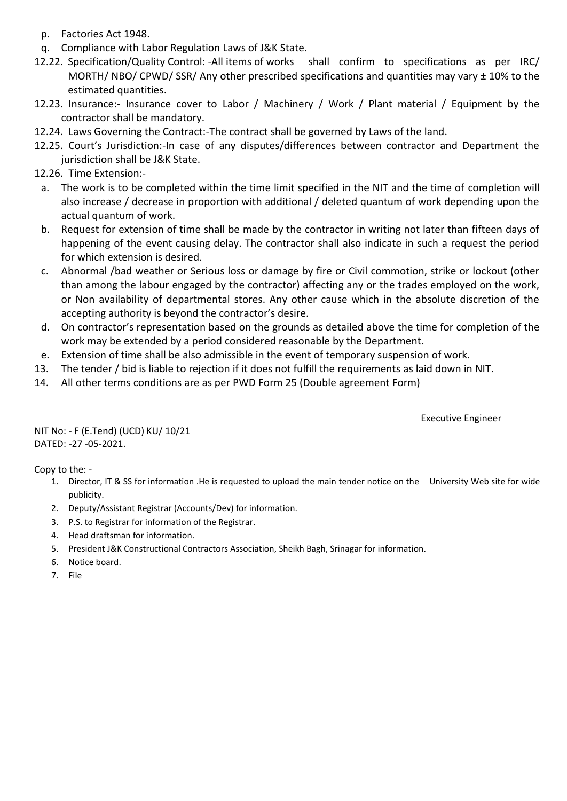- p. Factories Act 1948.
- q. Compliance with Labor Regulation Laws of J&K State.
- 12.22. Specification/Quality Control: -All items of works shall confirm to specifications as per IRC/ MORTH/ NBO/ CPWD/ SSR/ Any other prescribed specifications and quantities may vary ± 10% to the estimated quantities.
- 12.23. Insurance:- Insurance cover to Labor / Machinery / Work / Plant material / Equipment by the contractor shall be mandatory.
- 12.24. Laws Governing the Contract:-The contract shall be governed by Laws of the land.
- 12.25. Court's Jurisdiction:-In case of any disputes/differences between contractor and Department the jurisdiction shall be J&K State.
- 12.26. Time Extension:
	- a. The work is to be completed within the time limit specified in the NIT and the time of completion will also increase / decrease in proportion with additional / deleted quantum of work depending upon the actual quantum of work.
	- b. Request for extension of time shall be made by the contractor in writing not later than fifteen days of happening of the event causing delay. The contractor shall also indicate in such a request the period for which extension is desired.
	- c. Abnormal /bad weather or Serious loss or damage by fire or Civil commotion, strike or lockout (other than among the labour engaged by the contractor) affecting any or the trades employed on the work, or Non availability of departmental stores. Any other cause which in the absolute discretion of the accepting authority is beyond the contractor's desire.
	- d. On contractor's representation based on the grounds as detailed above the time for completion of the work may be extended by a period considered reasonable by the Department.
- e. Extension of time shall be also admissible in the event of temporary suspension of work.
- 13. The tender / bid is liable to rejection if it does not fulfill the requirements as laid down in NIT.
- 14. All other terms conditions are as per PWD Form 25 (Double agreement Form)

Executive Engineer

NIT No: - F (E.Tend) (UCD) KU/ 10/21 DATED: -27 -05-2021.

Copy to the: -

- 1. Director, IT & SS for information .He is requested to upload the main tender notice on the University Web site for wide publicity.
- 2. Deputy/Assistant Registrar (Accounts/Dev) for information.
- 3. P.S. to Registrar for information of the Registrar.
- 4. Head draftsman for information.
- 5. President J&K Constructional Contractors Association, Sheikh Bagh, Srinagar for information.
- 6. Notice board.
- 7. File